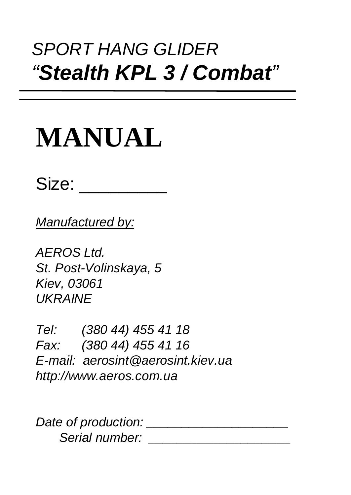# *SPORT HANG GLIDER "Stealth KPL 3 / Combat"*

# **MANUAL**

Size: \_\_\_\_\_\_\_\_

*Manufactured by:*

*AEROS Ltd. St. Post-Volinskaya, 5 Kiev, 03061 UKRAINE*

*Tel: (380 44) 455 41 18 Fax: (380 44) 455 41 16 E-mail: aerosint@aerosint.kiev.ua http://www.aeros.com.ua*

*Date of production: \_\_\_\_\_\_\_\_\_\_\_\_\_\_\_\_\_\_\_\_ Serial number: \_\_\_\_\_\_\_\_\_\_\_\_\_\_\_\_\_\_\_\_*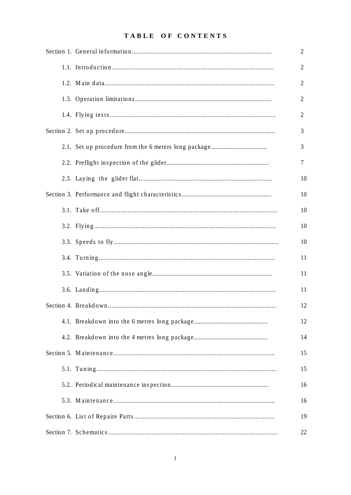#### TABLE OF CONTENTS

|  | 2  |
|--|----|
|  | 2  |
|  | 2  |
|  | 2  |
|  | 2  |
|  | 3  |
|  | 3  |
|  | 7  |
|  | 10 |
|  | 10 |
|  | 10 |
|  | 10 |
|  | 10 |
|  | 11 |
|  | 11 |
|  | 11 |
|  | 12 |
|  | 12 |
|  | 14 |
|  | 15 |
|  | 15 |
|  | 16 |
|  | 16 |
|  | 19 |
|  | 22 |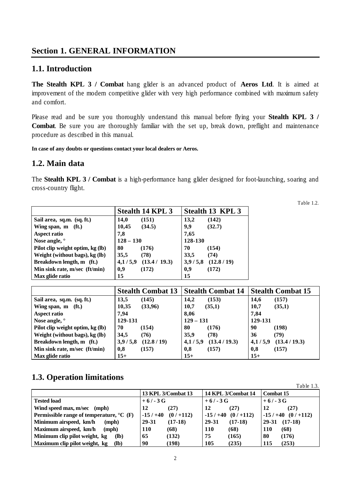#### **Section 1. GENERAL INFORMATION**

#### **1.1. Introduction**

**The Stealth KPL 3 / Combat** hang glider is an advanced product of **Aeros Ltd**. It is aimed at improvement of the modern competitive glider with very high performance combined with maximum safety and comfort.

Please read and be sure you thoroughly understand this manual before flying your **Stealth KPL 3 / Combat**. Be sure you are thoroughly familiar with the set up, break down, preflight and maintenance procedure as described in this manual.

**In case of any doubts or questions contact your local dealers or Aeros.**

#### **1.2. Main data**

The **Stealth KPL 3 / Combat** is a high-performance hang glider designed for foot-launching, soaring and cross-country flight.

|                                   |             | <b>Stealth 14 KPL 3</b> |         | Stealth 13 KPL 3 |  |
|-----------------------------------|-------------|-------------------------|---------|------------------|--|
| Sail area, sq.m. (sq. ft.)        | 14,0        | (151)                   | 13,2    | (142)            |  |
| (f <sub>t</sub> )<br>Wing span, m | 10,45       | (34.5)                  | 9,9     | (32.7)           |  |
| <b>Aspect ratio</b>               | 7,8         |                         | 7,65    |                  |  |
| Nose angle, °                     | $128 - 130$ |                         | 128-130 |                  |  |
| Pilot clip weight optim, kg (lb)  | 80          | (176)                   | 70      | (154)            |  |
| Weight (without bags), kg (lb)    | 35,5        | (78)                    | 33,5    | (74)             |  |
| Breakdown length, m (ft.)         | 4,1/5,9     | (13.4 / 19.3)           | 3,9/5,8 | (12.8/19)        |  |
| Min sink rate, m/sec (ft/min)     | 0,9         | (172)                   | 0,9     | (172)            |  |
| Max glide ratio                   | 15          |                         | 15      |                  |  |

**Stealth Combat 13 Stealth Combat 14 Stealth Combat 15 Sail area, sq.m. (sq. ft.) 13,5 (145) 14,2 (153) 14,6 (157) Wing span, m (ft.) 10,35 (33,96) 10,7 (35,1) 10,7 (35,1) Aspect ratio 7,94 8,06 7,84 Nose angle, ° 129-131 129 – 131 129-131 Pilot clip weight optim, kg (lb)**  $\begin{bmatrix} 70 \\ 40 \end{bmatrix}$  (154)  $\begin{bmatrix} 80 \\ 176 \end{bmatrix}$  (176)  $\begin{bmatrix} 90 \\ 90 \end{bmatrix}$  (198) **Weight (without bags), kg (lb) 34,5 (76) 35,9 (78) 36 (79) Breakdown length, m (ft.) 3,9 / 5,8 (12.8 / 19) 4,1 / 5,9 (13.4 / 19.3) 4,1 / 5,9 (13.4 / 19.3) Min sink rate, m/sec (ft/min) 0,8 (157) 0,8 (157) 0,8 (157) Max glide ratio 15+ 15+ 15+**

#### **1.3. Operation limitations**

|                                                                     |                           |                           | 1.0010 1.01      |
|---------------------------------------------------------------------|---------------------------|---------------------------|------------------|
|                                                                     | <b>13 KPL 3/Combat 13</b> | <b>14 KPL 3/Combat 14</b> | <b>Combat 15</b> |
| <b>Tested load</b>                                                  | $+6/-3G$                  | $+6/ -3 G$                | $+6/-3G$         |
| Wind speed max, m/sec                                               | (27)                      | 12                        | (27)             |
| (mph)                                                               | 12                        | (27)                      | 12               |
| <b>Permissible range of temperature, <math>^{\circ}</math>C</b> (F) | (0/1112)                  | (0/1112)                  | $-15/+40$        |
|                                                                     | $-15/ +40$                | $-15/+40$                 | (0/1112)         |
| Minimum airspeed, km/h                                              | 29-31                     | 29-31                     | $(17-18)$        |
| (mph)                                                               | $(17-18)$                 | $(17-18)$                 | 29-31            |
| Maximum airspeed, km/h                                              | <b>110</b>                | 110                       | <b>110</b>       |
| (mph)                                                               | (68)                      | (68)                      | (68)             |
| Minimum clip pilot weight, kg                                       | (132)                     | 75                        | (176)            |
| (lb)                                                                | 65                        | (165)                     | 80               |
| Maximum clip pilot weight, kg                                       | (198)                     | 105                       | (253)            |
| ( <b>lb</b> )                                                       | 90                        | (235)                     | 115              |

Table 1.2.

Table 1.3.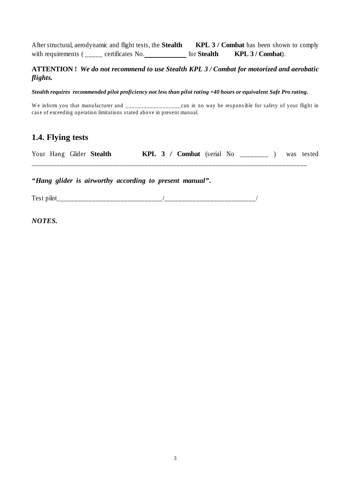After structural, aerodynamic and flight tests, the **Stealth KPL 3 / Combat** has been shown to comply with requirements ( \_\_\_\_\_ certificates No. \_\_\_\_\_\_ for **Stealth** KPL 3 / Combat).

#### **ATTENTION !** *We do not recommend to use Stealth KPL 3 / Combat for motorized and aerobatic flights.*

*Stealth requires recommended pilot proficiency not less than pilot rating +40 hours or equivalent Safe Pro rating.*

We inform you that manufacturer and \_\_\_\_\_\_\_\_\_\_\_\_\_\_\_\_\_\_\_can in no way be responsible for safety of your flight in case of exceeding operation limitations stated above in present manual.

#### **1.4. Flying tests**

|  | Your Hang Glider Stealth |  | KPL 3 / Combat (serial No |  |  | was tested |
|--|--------------------------|--|---------------------------|--|--|------------|
|  |                          |  |                           |  |  |            |

*"Hang glider is airworthy according to present manual".*

Test pilot  $\overline{\phantom{a}}$ 

*NOTES.*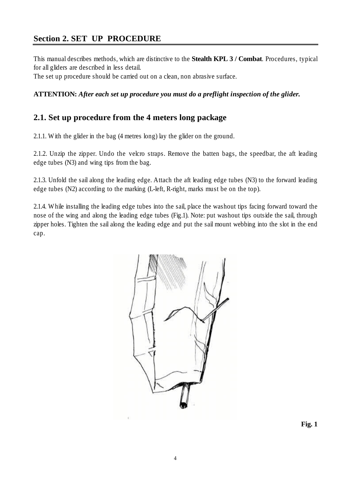# **Section 2. SET UP PROCEDURE**

This manual describes methods, which are distinctive to the **Stealth KPL 3 / Combat**. Procedures, typical for all gliders are described in less detail.

The set up procedure should be carried out on a clean, non abrasive surface.

#### **ATTENTION:** *After each set up procedure you must do a preflight inspection of the glider.*

#### **2.1. Set up procedure from the 4 meters long package**

2.1.1. With the glider in the bag (4 metres long) lay the glider on the ground.

2.1.2. Unzip the zipper. Undo the velcro straps. Remove the batten bags, the speedbar, the aft leading edge tubes (N3) and wing tips from the bag.

2.1.3. Unfold the sail along the leading edge. Attach the aft leading edge tubes (N3) to the forward leading edge tubes (N2) according to the marking (L-left, R-right, marks must be on the top).

2.1.4. While installing the leading edge tubes into the sail, place the washout tips facing forward toward the nose of the wing and along the leading edge tubes (Fig.1). Note: put washout tips outside the sail, through zipper holes. Tighten the sail along the leading edge and put the sail mount webbing into the slot in the end cap.



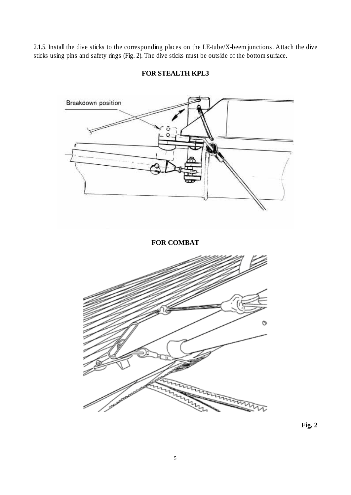2.1.5. Install the dive sticks to the corresponding places on the LE-tube/X-beem junctions. Attach the dive sticks using pins and safety rings (Fig. 2). The dive sticks must be outside of the bottom surface.



#### **FOR STEALTH KPL3**

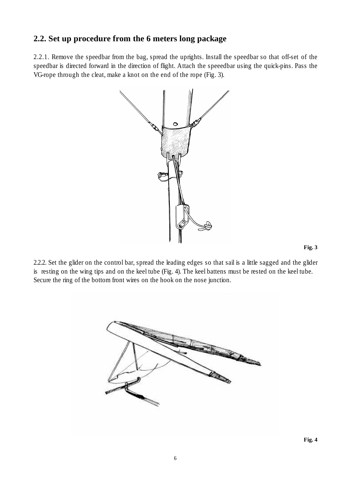## **2.2. Set up procedure from the 6 meters long package**

2.2.1. Remove the speedbar from the bag, spread the uprights. Install the speedbar so that off-set of the speedbar is directed forward in the direction of flight. Attach the speeedbar using the quick-pins. Pass the VG-rope through the cleat, make a knot on the end of the rope (Fig. 3).





2.2.2. Set the glider on the control bar, spread the leading edges so that sail is a little sagged and the glider is resting on the wing tips and on the keel tube (Fig. 4). The keel battens must be rested on the keel tube. Secure the ring of the bottom front wires on the hook on the nose junction.

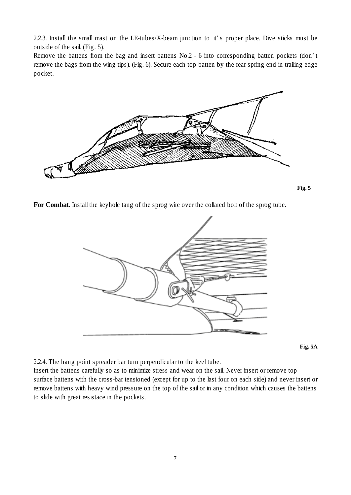2.2.3. Install the small mast on the LE-tubes/X-beam junction to it's proper place. Dive sticks must be outside of the sail. (Fig. 5).

Remove the battens from the bag and insert battens No.2 - 6 into corresponding batten pockets (don't remove the bags from the wing tips). (Fig. 6). Secure each top batten by the rear spring end in trailing edge pocket.



**Fig. 5**

**For Combat.** Install the keyhole tang of the sprog wire over the collared bolt of the sprog tube.



**Fig. 5A**

2.2.4. The hang point spreader bar turn perpendicular to the keel tube.

Insert the battens carefully so as to minimize stress and wear on the sail. Never insert or remove top surface battens with the cross-bar tensioned (except for up to the last four on each side) and never insert or remove battens with heavy wind pressure on the top of the sail or in any condition which causes the battens to slide with great resistace in the pockets.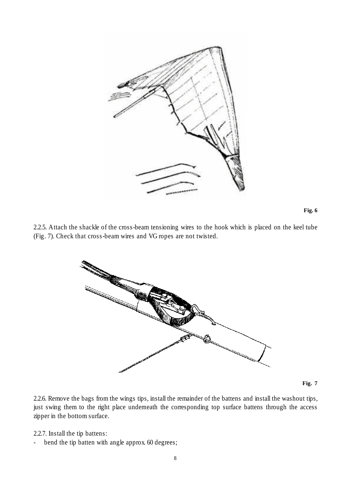



2.2.5. Attach the shackle of the cross-beam tensioning wires to the hook which is placed on the keel tube (Fig. 7). Check that cross-beam wires and VG ropes are not twisted.



**Fig. 7**

2.2.6. Remove the bags from the wings tips, install the remainder of the battens and install the washout tips, just swing them to the right place underneath the corresponding top surface battens through the access zipper in the bottom surface.

2.2.7. Install the tip battens:

- bend the tip batten with angle approx. 60 degrees;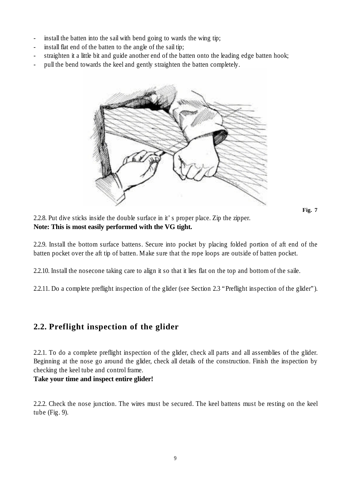- install the batten into the sail with bend going to wards the wing tip;
- install flat end of the batten to the angle of the sail tip;
- straighten it a little bit and guide another end of the batten onto the leading edge batten hook;
- pull the bend towards the keel and gently straighten the batten completely.



**Fig. 7**

2.2.8. Put dive sticks inside the double surface in it's proper place. Zip the zipper. **Note: This is most easily performed with the VG tight.**

2.2.9. Install the bottom surface battens. Secure into pocket by placing folded portion of aft end of the batten pocket over the aft tip of batten. Make sure that the rope loops are outside of batten pocket.

2.2.10. Install the nosecone taking care to align it so that it lies flat on the top and bottom of the saile.

2.2.11. Do a complete preflight inspection of the glider (see Section 2.3 "Preflight inspection of the glider").

#### **2.2. Preflight inspection of the glider**

2.2.1. To do a complete preflight inspection of the glider, check all parts and all assemblies of the glider. Beginning at the nose go around the glider, check all details of the construction. Finish the inspection by checking the keel tube and control frame.

#### **Take your time and inspect entire glider!**

2.2.2. Check the nose junction. The wires must be secured. The keel battens must be resting on the keel tube (Fig. 9).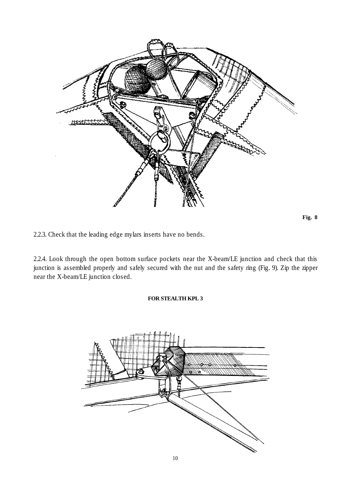

**Fig. 8**

2.2.3. Check that the leading edge mylars inserts have no bends.

2.2.4. Look through the open bottom surface pockets near the X-beam/LE junction and check that this junction is assembled properly and safely secured with the nut and the safety ring (Fig. 9). Zip the zipper near the X-beam/LE junction closed.

#### **FOR STEALTH KPL 3**

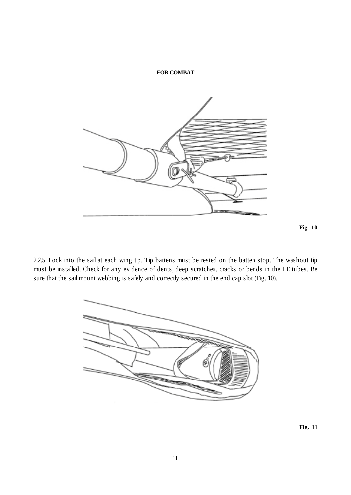#### **FOR COMBAT**



**Fig. 10**

2.2.5. Look into the sail at each wing tip. Tip battens must be rested on the batten stop. The washout tip must be installed. Check for any evidence of dents, deep scratches, cracks or bends in the LE tubes. Be sure that the sail mount webbing is safely and correctly secured in the end cap slot (Fig. 10).



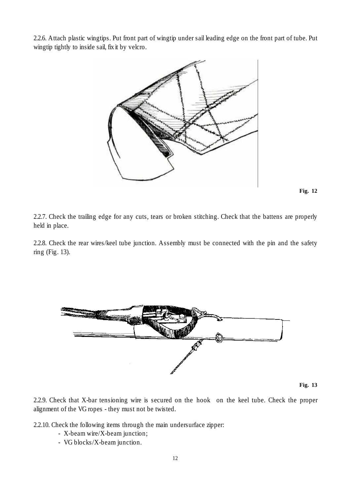2.2.6. Attach plastic wingtips. Put front part of wingtip under sail leading edge on the front part of tube. Put wingtip tightly to inside sail, fix it by velcro.



**Fig. 12**

2.2.7. Check the trailing edge for any cuts, tears or broken stitching. Check that the battens are properly held in place.

2.2.8. Check the rear wires/keel tube junction. Assembly must be connected with the pin and the safety ring (Fig. 13).



**Fig. 13**

2.2.9. Check that X-bar tensioning wire is secured on the hook on the keel tube. Check the proper alignment of the VG ropes - they must not be twisted.

2.2.10. Check the following items through the main undersurface zipper:

- X-beam wire/X-beam junction;
- VG blocks/X-beam junction.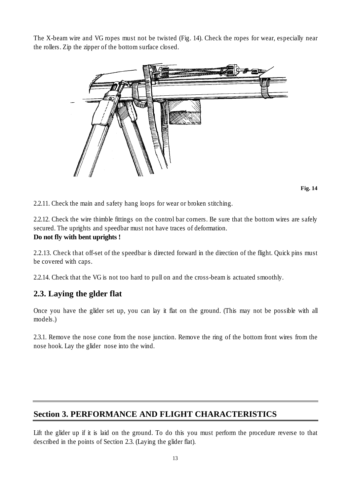The X-beam wire and VG ropes must not be twisted (Fig. 14). Check the ropes for wear, especially near the rollers. Zip the zipper of the bottom surface closed.



**Fig. 14**

2.2.11. Check the main and safety hang loops for wear or broken stitching.

2.2.12. Check the wire thimble fittings on the control bar corners. Be sure that the bottom wires are safely secured. The uprights and speedbar must not have traces of deformation. **Do not fly with bent uprights !**

2.2.13. Check that off-set of the speedbar is directed forward in the direction of the flight. Quick pins must be covered with caps.

2.2.14. Check that the VG is not too hard to pull on and the cross-beam is actuated smoothly.

#### **2.3. Laying the glder flat**

Once you have the glider set up, you can lay it flat on the ground. (This may not be possible with all models.)

2.3.1. Remove the nose cone from the nose junction. Remove the ring of the bottom front wires from the nose hook. Lay the glider nose into the wind.

# **Section 3. PERFORMANCE AND FLIGHT CHARACTERISTICS**

Lift the glider up if it is laid on the ground. To do this you must perform the procedure reverse to that described in the points of Section 2.3. (Laying the glider flat).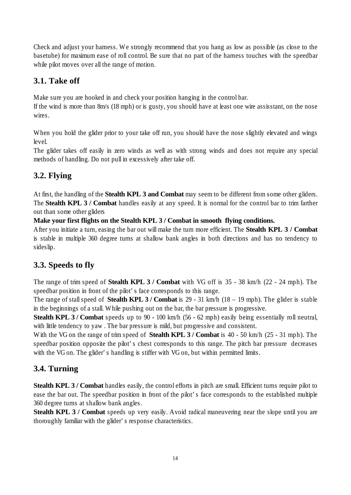Check and adjust your harness. We strongly recommend that you hang as low as possible (as close to the basetube) for maximum ease of roll control. Be sure that no part of the harness touches with the speedbar while pilot moves over all the range of motion.

# **3.1. Take off**

Make sure you are hooked in and check your position hanging in the control bar.

If the wind is more than 8m/s (18 mph) or is gusty, you should have at least one wire assisstant, on the nose wires.

When you hold the glider prior to your take off run, you should have the nose slightly elevated and wings level.

The glider takes off easily in zero winds as well as with strong winds and does not require any special methods of handling. Do not pull in excessively after take off.

# **3.2. Flying**

At first, the handling of the **Stealth KPL 3 and Combat** may seem to be different from some other gliders. The **Stealth KPL 3 / Combat** handles easily at any speed. It is normal for the control bar to trim farther out than some other gliders

**Make your first flights on the Stealth KPL 3 / Combat in smooth flying conditions.**

After you initiate a turn, easing the bar out will make the turn more efficient. The **Stealth KPL 3 / Combat** is stable in multiple 360 degree turns at shallow bank angles in both directions and has no tendency to sideslip.

# **3.3. Speeds to fly**

The range of trim speed of **Stealth KPL 3 / Combat** with VG off is 35 - 38 km/h (22 - 24 mph). The speedbar position in front of the pilot's face corresponds to this range.

The range of stall speed of **Stealth KPL 3 / Combat** is 29 - 31 km/h (18 – 19 mph). The glider is stable in the beginnings of a stall. While pushing out on the bar, the bar pressure is progressive.

**Stealth KPL 3 / Combat** speeds up to 90 - 100 km/h (56 - 62 mph) easily being essentially roll neutral, with little tendency to yaw. The bar pressure is mild, but progressive and consistent.

With the VG on the range of trim speed of **Stealth KPL 3 / Combat** is 40 - 50 km/h (25 - 31 mph). The speedbar position opposite the pilot's chest corresponds to this range. The pitch bar pressure decreases with the VG on. The glider's handling is stiffer with VG on, but within permitted limits.

# **3.4. Turning**

**Stealth KPL 3 / Combat** handles easily, the control efforts in pitch are small. Efficient turns require pilot to ease the bar out. The speedbar position in front of the pilot's face corresponds to the established multiple 360 degree turns at shallow bank angles.

**Stealth KPL 3 / Combat** speeds up very easily. Avoid radical maneuvering near the slope until you are thoroughly familiar with the glider's response characteristics.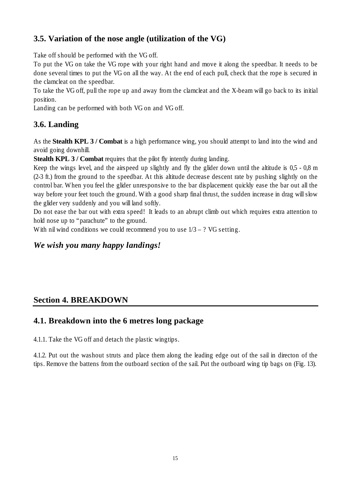# **3.5. Variation of the nose angle (utilization of the VG)**

Take off should be performed with the VG off.

To put the VG on take the VG rope with your right hand and move it along the speedbar. It needs to be done several times to put the VG on all the way. At the end of each pull, check that the rope is secured in the clamcleat on the speedbar.

To take the VG off, pull the rope up and away from the clamcleat and the X-beam will go back to its initial position.

Landing can be performed with both VG on and VG off.

## **3.6. Landing**

As the **Stealth KPL 3 / Combat** is a high performance wing, you should attempt to land into the wind and avoid going downhill.

**Stealth KPL 3 / Combat requires that the pilot fly intently during landing.** 

Keep the wings level, and the airspeed up slightly and fly the glider down until the altitude is 0,5 - 0,8 m (2-3 ft.) from the ground to the speedbar. At this altitude decrease descent rate by pushing slightly on the control bar. When you feel the glider unresponsive to the bar displacement quickly ease the bar out all the way before your feet touch the ground. With a good sharp final thrust, the sudden increase in drag will slow the glider very suddenly and you will land softly.

Do not ease the bar out with extra speed! It leads to an abrupt climb out which requires extra attention to hold nose up to "parachute" to the ground.

With nil wind conditions we could recommend you to use  $1/3 - ?$  VG setting.

# *We wish you many happy landings!*

# **Section 4. BREAKDOWN**

# **4.1. Breakdown into the 6 metres long package**

4.1.1. Take the VG off and detach the plastic wingtips.

4.1.2. Put out the washout struts and place them along the leading edge out of the sail in directon of the tips. Remove the battens from the outboard section of the sail. Put the outboard wing tip bags on (Fig. 13).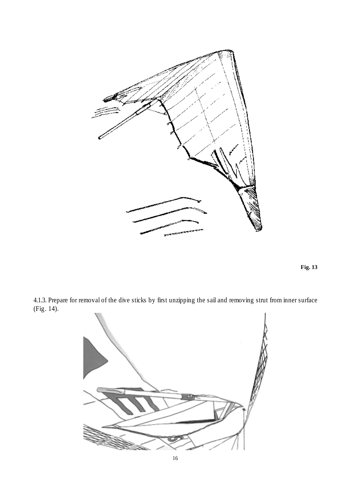



4.1.3. Prepare for removal of the dive sticks by first unzipping the sail and removing strut from inner surface (Fig. 14).

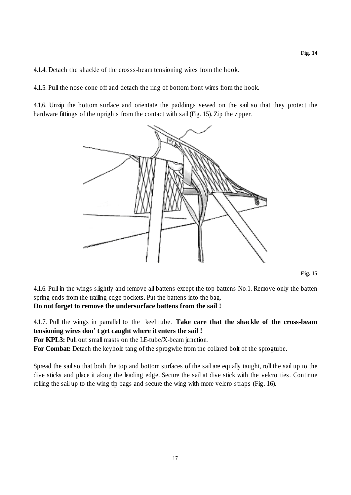4.1.4. Detach the shackle of the crosss-beam tensioning wires from the hook.

4.1.5. Pull the nose cone off and detach the ring of bottom front wires from the hook.

4.1.6. Unzip the bottom surface and orientate the paddings sewed on the sail so that they protect the hardware fittings of the uprights from the contact with sail (Fig. 15). Zip the zipper.



4.1.6. Pull in the wings slightly and remove all battens except the top battens No.1. Remove only the batten spring ends from the trailing edge pockets. Put the battens into the bag.

**Do not forget to remove the undersurface battens from the sail !**

4.1.7. Pull the wings in parrallel to the keel tube. **Take care that the shackle of the cross-beam tensioning wires don't get caught where it enters the sail !**

**For KPL3:** Pull out small masts on the LE-tube/X-beam junction.

For Combat: Detach the keyhole tang of the sprogwire from the collared bolt of the sprogtube.

Spread the sail so that both the top and bottom surfaces of the sail are equally taught, roll the sail up to the dive sticks and place it along the leading edge. Secure the sail at dive stick with the velcro ties. Continue rolling the sail up to the wing tip bags and secure the wing with more velcro straps (Fig. 16).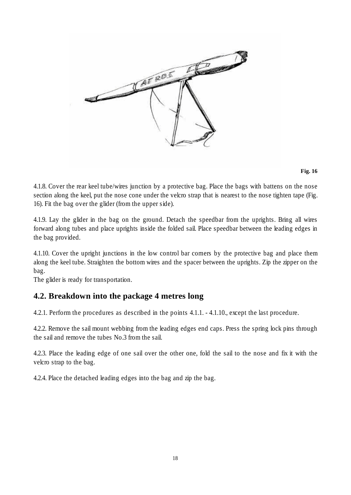

#### **Fig. 16**

4.1.8. Cover the rear keel tube/wires junction by a protective bag. Place the bags with battens on the nose section along the keel, put the nose cone under the velcro strap that is nearest to the nose tighten tape (Fig. 16). Fit the bag over the glider (from the upper side).

4.1.9. Lay the glider in the bag on the ground. Detach the speedbar from the uprights. Bring all wires forward along tubes and place uprights inside the folded sail. Place speedbar between the leading edges in the bag provided.

4.1.10. Cover the upright junctions in the low control bar corners by the protective bag and place them along the keel tube. Straighten the bottom wires and the spacer between the uprights. Zip the zipper on the bag.

The glider is ready for transportation.

#### **4.2. Breakdown into the package 4 metres long**

4.2.1. Perform the procedures as described in the points 4.1.1. - 4.1.10., except the last procedure.

4.2.2. Remove the sail mount webbing from the leading edges end caps. Press the spring lock pins through the sail and remove the tubes No.3 from the sail.

4.2.3. Place the leading edge of one sail over the other one, fold the sail to the nose and fix it with the velcro strap to the bag.

4.2.4. Place the detached leading edges into the bag and zip the bag.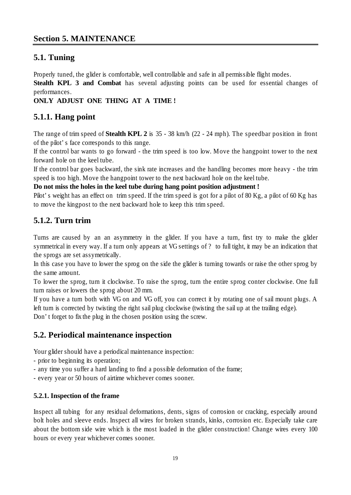# **5.1. Tuning**

Properly tuned, the glider is comfortable, well controllable and safe in all permissible flight modes.

**Stealth KPL 3 and Combat** has several adjusting points can be used for essential changes of performances.

**ONLY ADJUST ONE THING AT A TIME !**

# **5.1.1. Hang point**

The range of trim speed of **Stealth KPL 2** is 35 - 38 km/h (22 - 24 mph). The speedbar position in front of the pilot's face corresponds to this range.

If the control bar wants to go forward - the trim speed is too low. Move the hangpoint tower to the next forward hole on the keel tube.

If the control bar goes backward, the sink rate increases and the handling becomes more heavy - the trim speed is too high. Move the hangpoint tower to the next backward hole on the keel tube.

**Do not miss the holes in the keel tube during hang point position adjustment !**

Pilot's weight has an effect on trim speed. If the trim speed is got for a pilot of 80 Kg, a pilot of 60 Kg has to move the kingpost to the next backward hole to keep this trim speed.

# **5.1.2. Turn trim**

Turns are caused by an an asymmetry in the glider. If you have a turn, first try to make the glider symmetrical in every way. If a turn only appears at VG settings of ? to full tight, it may be an indication that the sprogs are set assymetrically.

In this case you have to lower the sprog on the side the glider is turning towards or raise the other sprog by the same amount.

To lower the sprog, turn it clockwise. To raise the sprog, turn the entire sprog conter clockwise. One full turn raises or lowers the sprog about 20 mm.

If you have a turn both with VG on and VG off, you can correct it by rotating one of sail mount plugs. A left turn is corrected by twisting the right sail plug clockwise (twisting the sail up at the trailing edge). Don't forget to fix the plug in the chosen position using the screw.

#### **5.2. Periodical maintenance inspection**

Your glider should have a periodical maintenance inspection:

- prior to beginning its operation;
- any time you suffer a hard landing to find a possible deformation of the frame;
- every year or 50 hours of airtime whichever comes sooner.

#### **5.2.1. Inspection of the frame**

Inspect all tubing for any residual deformations, dents, signs of corrosion or cracking, especially around bolt holes and sleeve ends. Inspect all wires for broken strands, kinks, corrosion etc. Especially take care about the bottom side wire which is the most loaded in the glider construction! Change wires every 100 hours or every year whichever comes sooner.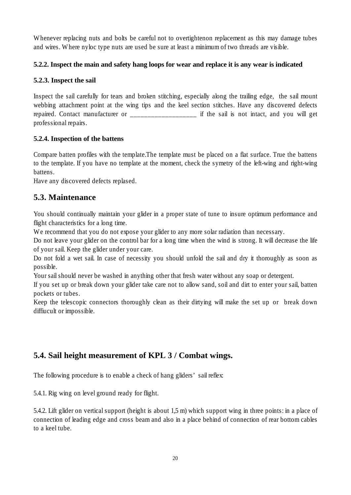Whenever replacing nuts and bolts be careful not to overtightenon replacement as this may damage tubes and wires. Where nyloc type nuts are used be sure at least a minimum of two threads are visible.

#### **5.2.2. Inspect the main and safety hang loops for wear and replace it is any wear is indicated**

#### **5.2.3. Inspect the sail**

Inspect the sail carefully for tears and broken stitching, especially along the trailing edge, the sail mount webbing attachment point at the wing tips and the keel section stitches. Have any discovered defects repaired. Contact manufacturer or \_\_\_\_\_\_\_\_\_\_\_\_\_\_\_\_\_\_\_ if the sail is not intact, and you will get professional repairs.

#### **5.2.4. Inspection of the battens**

Compare batten profiles with the template.The template must be placed on a flat surface. True the battens to the template. If you have no template at the moment, check the symetry of the left-wing and right-wing battens.

Have any discovered defects replased.

#### **5.3. Maintenance**

You should continually maintain your glider in a proper state of tune to insure optimum performance and flight characteristics for a long time.

We recommend that you do not expose your glider to any more solar radiation than necessary.

Do not leave your glider on the control bar for a long time when the wind is strong. It will decrease the life of your sail. Keep the glider under your care.

Do not fold a wet sail. In case of necessity you should unfold the sail and dry it thoroughly as soon as possible.

Your sail should never be washed in anything other that fresh water without any soap or detergent.

If you set up or break down your glider take care not to allow sand, soil and dirt to enter your sail, batten pockets or tubes.

Keep the telescopic connectors thoroughly clean as their dirtying will make the set up or break down diffiucult or impossible.

# **5.4. Sail height measurement of KPL 3 / Combat wings.**

The following procedure is to enable a check of hang gliders' sail reflex:

5.4.1. Rig wing on level ground ready for flight.

5.4.2. Lift glider on vertical support (height is about 1,5 m) which support wing in three points: in a place of connection of leading edge and cross beam and also in a place behind of connection of rear bottom cables to a keel tube.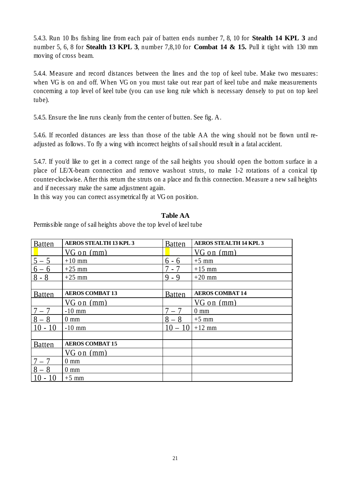5.4.3. Run 10 lbs fishing line from each pair of batten ends number 7, 8, 10 for **Stealth 14 KPL 3** and number 5, 6, 8 for **Stealth 13 KPL 3**, number 7,8,10 for **Combat 14 & 15.** Pull it tight with 130 mm moving of cross beam.

5.4.4. Measure and record distances between the lines and the top of keel tube. Make two mesuares: when VG is on and off. When VG on you must take out rear part of keel tube and make measurements concerning a top level of keel tube (you can use long rule which is necessary densely to put on top keel tube).

5.4.5. Ensure the line runs cleanly from the center of butten. See fig. A.

5.4.6. If recorded distances are less than those of the table AA the wing should not be flown until readjusted as follows. To fly a wing with incorrect heights of sail should result in a fatal accident.

5.4.7. If you'd like to get in a correct range of the sail heights you should open the bottom surface in a place of LE/X-beam connection and remove washout struts, to make 1-2 rotations of a conical tip counter-clockwise. After this return the struts on a place and fix this connection. Measure a new sail heights and if necessary make the same adjustment again.

In this way you can correct assymetrical fly at VG on position.

#### **Table AA**

Permissible range of sail heights above the top level of keel tube

| <b>Batten</b>     | <b>AEROS STEALTH 13 KPL 3</b> | <b>Batten</b> | <b>AEROS STEALTH 14 KPL 3</b> |
|-------------------|-------------------------------|---------------|-------------------------------|
|                   | $VG$ on $(mm)$                |               | VG on (mm)                    |
| $5 - 5$           | $+10$ mm                      | $6 - 6$       | $+5$ mm                       |
| $\frac{6-6}{8-8}$ | $+25$ mm                      | 7 - 7         | $+15$ mm                      |
|                   | $+25$ mm                      | $9 - 9$       | $+20$ mm                      |
|                   |                               |               |                               |
| <b>Batten</b>     | <b>AEROS COMBAT 13</b>        | <b>Batten</b> | <b>AEROS COMBAT 14</b>        |
|                   | $VG$ on $(mm)$                |               | VG on (mm)                    |
| $7 - 7$           | $-10$ mm                      | $7 - 7$       | $0 \text{ mm}$                |
| $8 - 8$           | $0 \text{ mm}$                | $8 - 8$       | $+5$ mm                       |
| $10 - 10$         | $-10$ mm                      | $10 - 10$     | $+12$ mm                      |
|                   |                               |               |                               |
| <b>Batten</b>     | <b>AEROS COMBAT 15</b>        |               |                               |
|                   | $VG$ on $(mm)$                |               |                               |
| $7 - 7$           | $0 \text{ mm}$                |               |                               |
| $8 - 8$           | $0 \text{ mm}$                |               |                               |
| $-10$             | $+5$ mm                       |               |                               |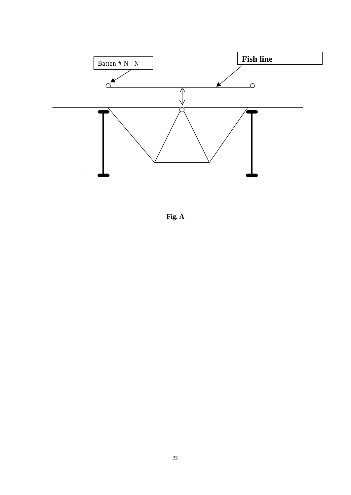

**Fig. A**